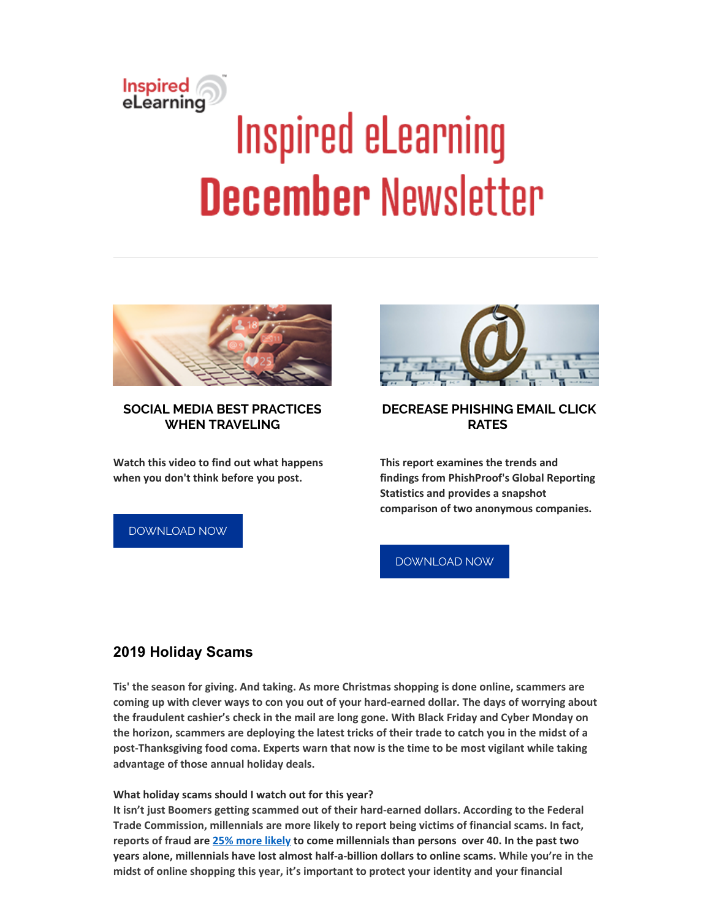# Inspired<br>eLearning **Inspired eLearning December Newsletter**



### **SOCIAL MEDIA BEST PRACTICES WHEN TRAVELING**

**Watch this video to find out what happens when you don't think before you post.**

[DOWNLOAD](https://inspiredelearning.com/resource/social-media-best-practices-traveling/?utm_source=Marketo) NOW



# **DECREASE PHISHING EMAIL CLICK RATES**

**This report examines the trends and findings from PhishProof's Global Reporting Statistics and provides a snapshot comparison of two anonymous companies.**

[DOWNLOAD](https://inspiredelearning.com/resource/phishproof-report/?utm_source=Marketo) NOW

# **2019 Holiday Scams**

**Tis' the season for giving. And taking. As more Christmas shopping is done online, scammers are coming up with clever ways to con you out of your hard-earned dollar. The days of worrying about the fraudulent cashier's check in the mail are long gone. With Black Friday and Cyber Monday on** the horizon, scammers are deploying the latest tricks of their trade to catch you in the midst of a **post-Thanksgiving food coma. Experts warn that now is the time to be most vigilant while taking advantage of those annual holiday deals.**

**What holiday scams should I watch out for this year?**

**It isn't just Boomers getting scammed out of their hard-earned dollars. According to the Federal Trade Commission, millennials are more likely to report being victims of financial scams. In fact, reports of fraud are 25% [more](https://www.ftc.gov/news-events/blogs/data-spotlight/2019/10/not-what-you-think-millennials-fraud) likely to come millennials than persons over 40. In the past two years alone, millennials have lost almost half-a-billion dollars to online scams. While you're in the midst of online shopping this year, it's important to protect your identity and your financial**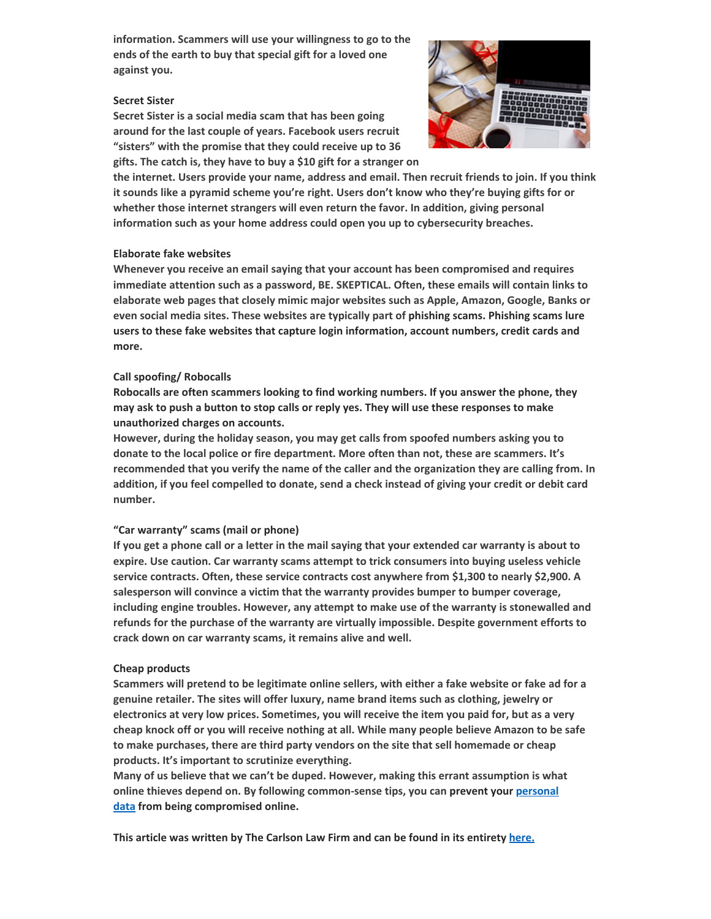**information. Scammers will use your willingness to go to the ends of the earth to buy that special gift for a loved one against you.**

#### **Secret Sister**

**Secret Sister is a social media scam that has been going around for the last couple of years. Facebook users recruit "sisters" with the promise that they could receive up to 36 gifts. The catch is, they have to buy a \$10 gift for a stranger on**



**the internet. Users provide your name, address and email. Then recruit friends to join. If you think it sounds like a pyramid scheme you're right. Users don't know who they're buying gifts for or whether those internet strangers will even return the favor. In addition, giving personal information such as your home address could open you up to cybersecurity breaches.**

#### **Elaborate fake websites**

**Whenever you receive an email saying that your account has been compromised and requires immediate attention such as a password, BE. SKEPTICAL. Often, these emails will contain links to elaborate web pages that closely mimic major websites such as Apple, Amazon, Google, Banks or even social media sites. These websites are typically part of phishing scams. Phishing scams lure users to these fake websites that capture login information, account numbers, credit cards and more.**

#### **Call spoofing/ Robocalls**

**Robocalls are often scammers looking to find working numbers. If you answer the phone, they may ask to push a button to stop calls or reply yes. They will use these responses to make unauthorized charges on accounts.**

**However, during the holiday season, you may get calls from spoofed numbers asking you to donate to the local police or fire department. More often than not, these are scammers. It's recommended that you verify the name of the caller and the organization they are calling from. In** addition, if you feel compelled to donate, send a check instead of giving your credit or debit card **number.**

#### **"Car warranty" scams (mail or phone)**

If you get a phone call or a letter in the mail saying that your extended car warranty is about to **expire. Use caution. Car warranty scams attempt to trick consumers into buying useless vehicle service contracts. Often, these service contracts cost anywhere from \$1,300 to nearly \$2,900. A salesperson will convince a victim that the warranty provides bumper to bumper coverage, including engine troubles. However, any attempt to make use of the warranty is stonewalled and refunds for the purchase of the warranty are virtually impossible. Despite government efforts to crack down on car warranty scams, it remains alive and well.**

#### **Cheap products**

**Scammers will pretend to be legitimate online sellers, with either a fake website or fake ad for a genuine retailer. The sites will offer luxury, name brand items such as clothing, jewelry or electronics at very low prices. Sometimes, you will receive the item you paid for, but as a very cheap knock off or you will receive nothing at all. While many people believe Amazon to be safe to make purchases, there are third party vendors on the site that sell homemade or cheap products. It's important to scrutinize everything.**

**Many of us believe that we can't be duped. However, making this errant assumption is what online thieves depend on. By following [common-sense](https://www.carlsonattorneys.com/news-and-update/secure-holiday-shopping/) tips, you can prevent your personal data from being compromised online.**

**This article was written by The Carlson Law Firm and can be found in its entirety [here.](https://www.carlsonattorneys.com/news-and-update/2019-holiday-scams/)**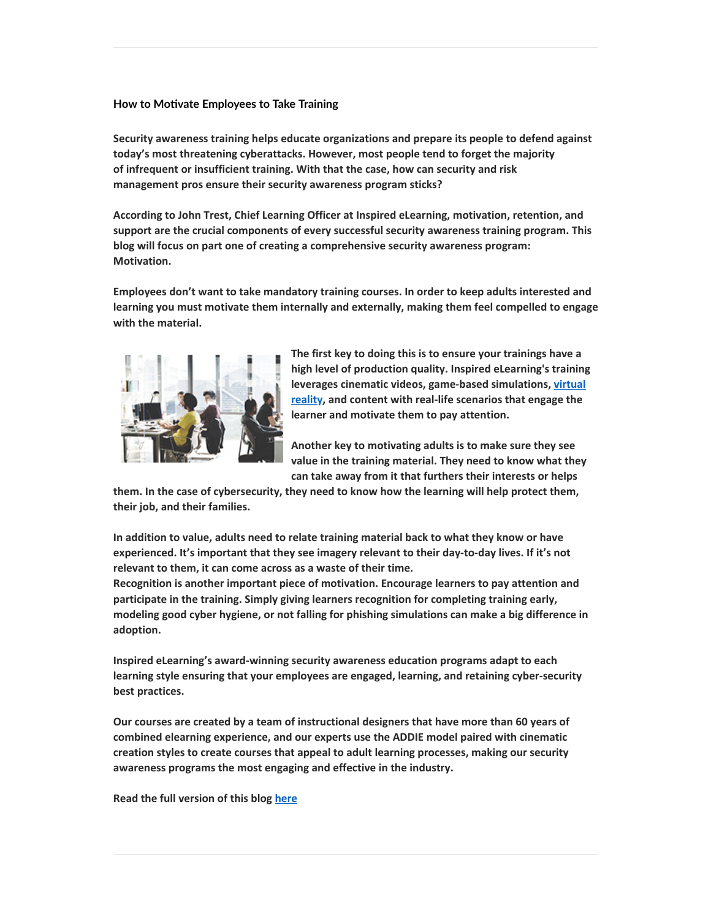#### **How to Movate Employees to Take Training**

**Security awareness training helps educate organizations and prepare its people to defend against today's most threatening cyberattacks. However, most people tend to forget the majority of infrequent or insufficient training. With that the case, how can security and risk management pros ensure their security awareness program sticks?**

**According to John Trest, Chief Learning Officer at Inspired eLearning, motivation, retention, and support are the crucial components of every successful security awareness training program. This blog will focus on part one of creating a comprehensive security awareness program: Motivation.**

**Employees don't want to take mandatory training courses. In order to keep adults interested and learning you must motivate them internally and externally, making them feel compelled to engage with the material.**



**The first key to doing this is to ensure your trainings have a high level of production quality. Inspired eLearning's training leverages cinematic videos, [game-based](https://inspiredelearning.com/blog/virtual-reality-technology-and-learning/) simulations, virtual reality, and content with real-life scenarios that engage the learner and motivate them to pay attention.**

**Another key to motivating adults is to make sure they see value in the training material. They need to know what they can take away from it that furthers their interests or helps**

**them. In the case of cybersecurity, they need to know how the learning will help protect them, their job, and their families.**

**In addition to value, adults need to relate training material back to what they know or have experienced. It's important that they see imagery relevant to their day-to-day lives. If it's not relevant to them, it can come across as a waste of their time.**

**Recognition is another important piece of motivation. Encourage learners to pay attention and participate in the training. Simply giving learners recognition for completing training early, modeling good cyber hygiene, or not falling for phishing simulations can make a big difference in adoption.**

**Inspired eLearning's award-winning security awareness education programs adapt to each learning style ensuring that your employees are engaged, learning, and retaining cyber-security best practices.**

**Our courses are created by a team of instructional designers that have more than 60 years of combined elearning experience, and our experts use the ADDIE model paired with cinematic creation styles to create courses that appeal to adult learning processes, making our security awareness programs the most engaging and effective in the industry.**

**Read the full version of this blog [here](https://inspiredelearning.com/blog/motivate-employees-to-take-training/)**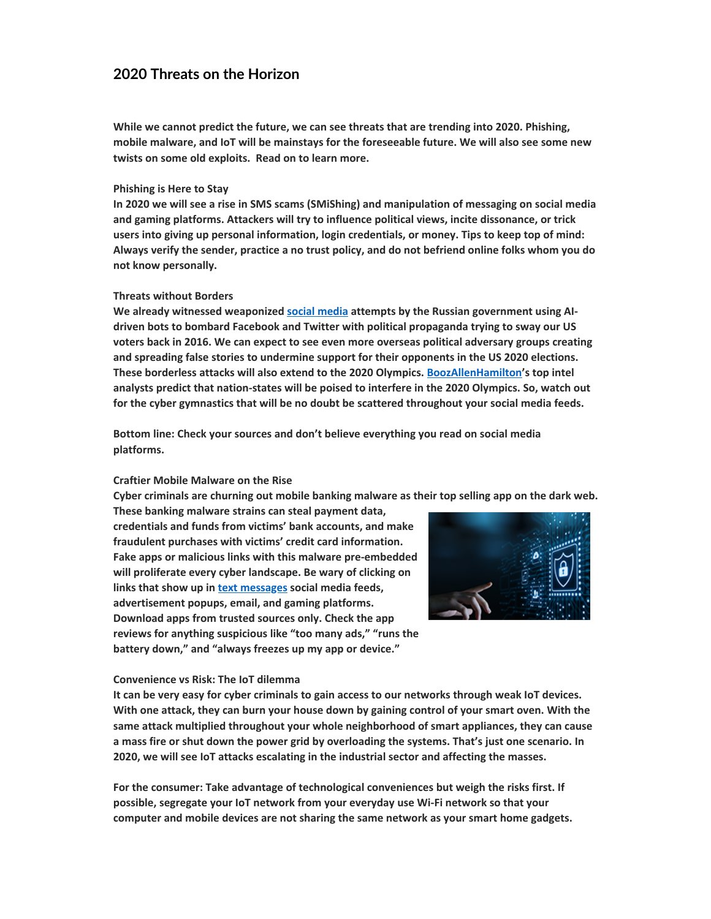## **2020 Threats on the Horizon**

**While we cannot predict the future, we can see threats that are trending into 2020. Phishing, mobile malware, and IoT will be mainstays for the foreseeable future. We will also see some new twists on some old exploits. Read on to learn more.**

#### **Phishing is Here to Stay**

**In 2020 we will see a rise in SMS scams (SMiShing) and manipulation of messaging on social media and gaming platforms. Attackers will try to influence political views, incite dissonance, or trick users into giving up personal information, login credentials, or money. Tips to keep top of mind: Always verify the sender, practice a no trust policy, and do not befriend online folks whom you do not know personally.**

#### **Threats without Borders**

**We already witnessed weaponized social [media](https://inspiredelearning.com/resource/social-media-safety-infographic/) attempts by the Russian government using AIdriven bots to bombard Facebook and Twitter with political propaganda trying to sway our US voters back in 2016. We can expect to see even more overseas political adversary groups creating and spreading false stories to undermine support for their opponents in the US 2020 elections. These borderless attacks will also extend to the 2020 Olympics. [BoozAllenHamilton'](https://www.boozallen.com/c/insight/publication/top-9-cybersecurity-trends-for-2020.html?cid=CyberTrends-adwords-PaidSearch&gclid=EAIaIQobChMIioTS4qno5QIVAx6tBh05WAa1EAAYAyAAEgIPqPD_BwE#download)s top intel analysts predict that nation-states will be poised to interfere in the 2020 Olympics. So, watch out for the cyber gymnastics that will be no doubt be scattered throughout your social media feeds.**

**Bottom line: Check your sources and don't believe everything you read on social media platforms.**

#### **Craftier Mobile Malware on the Rise**

**Cyber criminals are churning out mobile banking malware as their top selling app on the dark web.**

**These banking malware strains can steal payment data, credentials and funds from victims' bank accounts, and make fraudulent purchases with victims' credit card information. Fake apps or malicious links with this malware pre-embedded will proliferate every cyber landscape. Be wary of clicking on links that show up in text [messages](https://inspiredelearning.com/resource/smishing-video/) social media feeds, advertisement popups, email, and gaming platforms. Download apps from trusted sources only. Check the app reviews for anything suspicious like "too many ads," "runs the battery down," and "always freezes up my app or device."**



#### **Convenience vs Risk: The IoT dilemma**

**It can be very easy for cyber criminals to gain access to our networks through weak IoT devices. With one attack, they can burn your house down by gaining control of your smart oven. With the same attack multiplied throughout your whole neighborhood of smart appliances, they can cause a mass fire or shut down the power grid by overloading the systems. That's just one scenario. In 2020, we will see IoT attacks escalating in the industrial sector and affecting the masses.**

**For the consumer: Take advantage of technological conveniences but weigh the risks first. If possible, segregate your IoT network from your everyday use Wi-Fi network so that your computer and mobile devices are not sharing the same network as your smart home gadgets.**